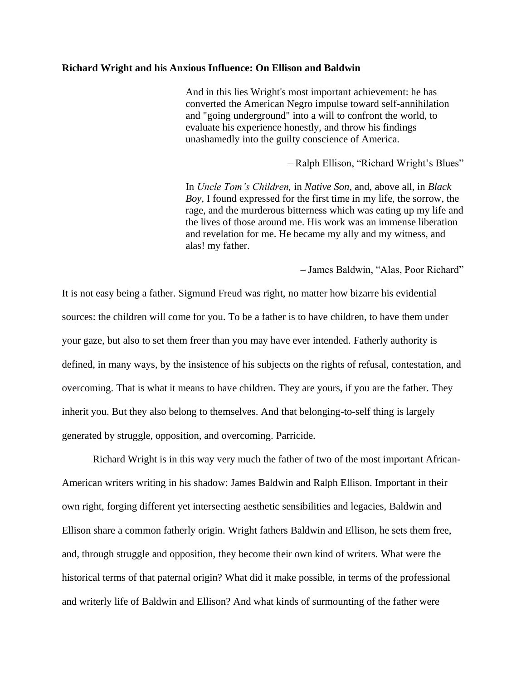## **Richard Wright and his Anxious Influence: On Ellison and Baldwin**

And in this lies Wright's most important achievement: he has converted the American Negro impulse toward self-annihilation and "going underground" into a will to confront the world, to evaluate his experience honestly, and throw his findings unashamedly into the guilty conscience of America.

– Ralph Ellison, "Richard Wright's Blues"

In *Uncle Tom's Children,* in *Native Son,* and, above all, in *Black Boy,* I found expressed for the first time in my life, the sorrow, the rage, and the murderous bitterness which was eating up my life and the lives of those around me. His work was an immense liberation and revelation for me. He became my ally and my witness, and alas! my father.

– James Baldwin, "Alas, Poor Richard"

It is not easy being a father. Sigmund Freud was right, no matter how bizarre his evidential sources: the children will come for you. To be a father is to have children, to have them under your gaze, but also to set them freer than you may have ever intended. Fatherly authority is defined, in many ways, by the insistence of his subjects on the rights of refusal, contestation, and overcoming. That is what it means to have children. They are yours, if you are the father. They inherit you. But they also belong to themselves. And that belonging-to-self thing is largely generated by struggle, opposition, and overcoming. Parricide.

Richard Wright is in this way very much the father of two of the most important African-American writers writing in his shadow: James Baldwin and Ralph Ellison. Important in their own right, forging different yet intersecting aesthetic sensibilities and legacies, Baldwin and Ellison share a common fatherly origin. Wright fathers Baldwin and Ellison, he sets them free, and, through struggle and opposition, they become their own kind of writers. What were the historical terms of that paternal origin? What did it make possible, in terms of the professional and writerly life of Baldwin and Ellison? And what kinds of surmounting of the father were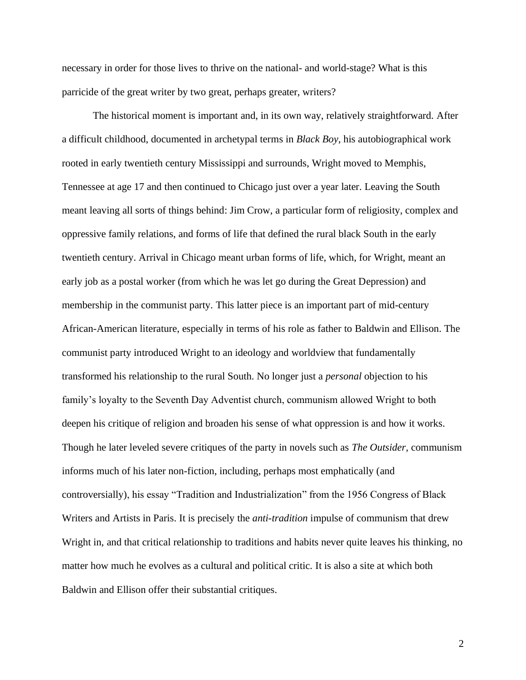necessary in order for those lives to thrive on the national- and world-stage? What is this parricide of the great writer by two great, perhaps greater, writers?

The historical moment is important and, in its own way, relatively straightforward. After a difficult childhood, documented in archetypal terms in *Black Boy*, his autobiographical work rooted in early twentieth century Mississippi and surrounds, Wright moved to Memphis, Tennessee at age 17 and then continued to Chicago just over a year later. Leaving the South meant leaving all sorts of things behind: Jim Crow, a particular form of religiosity, complex and oppressive family relations, and forms of life that defined the rural black South in the early twentieth century. Arrival in Chicago meant urban forms of life, which, for Wright, meant an early job as a postal worker (from which he was let go during the Great Depression) and membership in the communist party. This latter piece is an important part of mid-century African-American literature, especially in terms of his role as father to Baldwin and Ellison. The communist party introduced Wright to an ideology and worldview that fundamentally transformed his relationship to the rural South. No longer just a *personal* objection to his family's loyalty to the Seventh Day Adventist church, communism allowed Wright to both deepen his critique of religion and broaden his sense of what oppression is and how it works. Though he later leveled severe critiques of the party in novels such as *The Outsider,* communism informs much of his later non-fiction, including, perhaps most emphatically (and controversially), his essay "Tradition and Industrialization" from the 1956 Congress of Black Writers and Artists in Paris. It is precisely the *anti-tradition* impulse of communism that drew Wright in, and that critical relationship to traditions and habits never quite leaves his thinking, no matter how much he evolves as a cultural and political critic. It is also a site at which both Baldwin and Ellison offer their substantial critiques.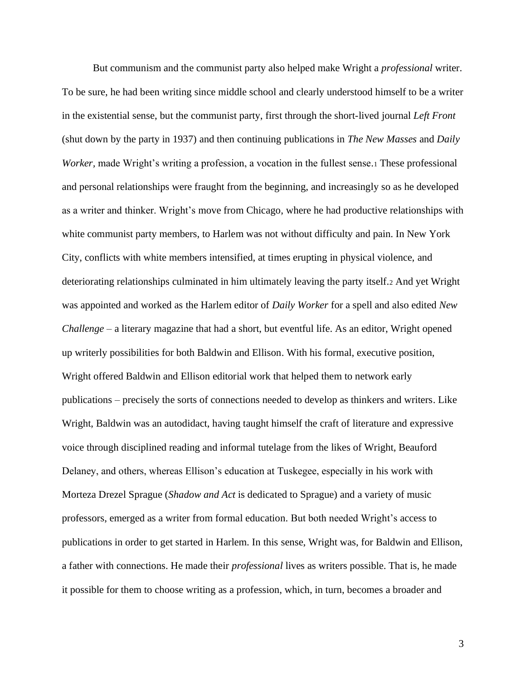But communism and the communist party also helped make Wright a *professional* writer. To be sure, he had been writing since middle school and clearly understood himself to be a writer in the existential sense, but the communist party, first through the short-lived journal *Left Front*  (shut down by the party in 1937) and then continuing publications in *The New Masses* and *Daily Worker*, made Wright's writing a profession, a vocation in the fullest sense.1 These professional and personal relationships were fraught from the beginning, and increasingly so as he developed as a writer and thinker. Wright's move from Chicago, where he had productive relationships with white communist party members, to Harlem was not without difficulty and pain. In New York City, conflicts with white members intensified, at times erupting in physical violence, and deteriorating relationships culminated in him ultimately leaving the party itself.<sup>2</sup> And yet Wright was appointed and worked as the Harlem editor of *Daily Worker* for a spell and also edited *New Challenge –* a literary magazine that had a short, but eventful life. As an editor, Wright opened up writerly possibilities for both Baldwin and Ellison. With his formal, executive position, Wright offered Baldwin and Ellison editorial work that helped them to network early publications – precisely the sorts of connections needed to develop as thinkers and writers. Like Wright, Baldwin was an autodidact, having taught himself the craft of literature and expressive voice through disciplined reading and informal tutelage from the likes of Wright, Beauford Delaney, and others, whereas Ellison's education at Tuskegee, especially in his work with Morteza Drezel Sprague (*Shadow and Act* is dedicated to Sprague) and a variety of music professors, emerged as a writer from formal education. But both needed Wright's access to publications in order to get started in Harlem. In this sense, Wright was, for Baldwin and Ellison, a father with connections. He made their *professional* lives as writers possible. That is, he made it possible for them to choose writing as a profession, which, in turn, becomes a broader and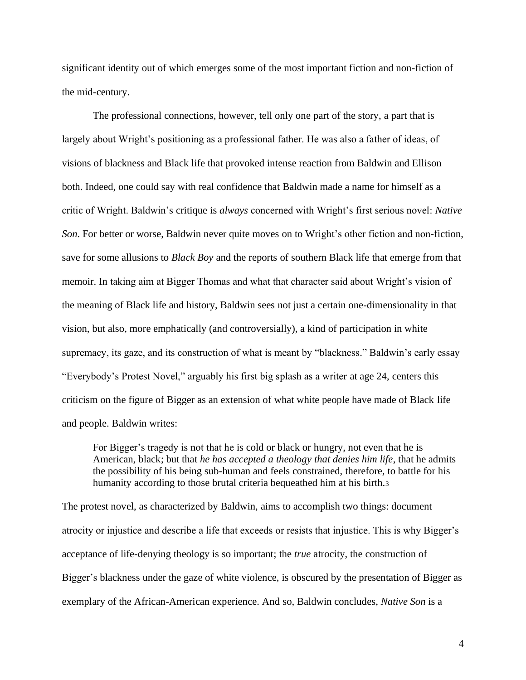significant identity out of which emerges some of the most important fiction and non-fiction of the mid-century.

The professional connections, however, tell only one part of the story, a part that is largely about Wright's positioning as a professional father. He was also a father of ideas, of visions of blackness and Black life that provoked intense reaction from Baldwin and Ellison both. Indeed, one could say with real confidence that Baldwin made a name for himself as a critic of Wright. Baldwin's critique is *always* concerned with Wright's first serious novel: *Native Son*. For better or worse, Baldwin never quite moves on to Wright's other fiction and non-fiction, save for some allusions to *Black Boy* and the reports of southern Black life that emerge from that memoir. In taking aim at Bigger Thomas and what that character said about Wright's vision of the meaning of Black life and history, Baldwin sees not just a certain one-dimensionality in that vision, but also, more emphatically (and controversially), a kind of participation in white supremacy, its gaze, and its construction of what is meant by "blackness." Baldwin's early essay "Everybody's Protest Novel," arguably his first big splash as a writer at age 24, centers this criticism on the figure of Bigger as an extension of what white people have made of Black life and people. Baldwin writes:

For Bigger's tragedy is not that he is cold or black or hungry, not even that he is American, black; but that *he has accepted a theology that denies him life*, that he admits the possibility of his being sub-human and feels constrained, therefore, to battle for his humanity according to those brutal criteria bequeathed him at his birth.<sup>3</sup>

The protest novel, as characterized by Baldwin, aims to accomplish two things: document atrocity or injustice and describe a life that exceeds or resists that injustice. This is why Bigger's acceptance of life-denying theology is so important; the *true* atrocity, the construction of Bigger's blackness under the gaze of white violence, is obscured by the presentation of Bigger as exemplary of the African-American experience. And so, Baldwin concludes, *Native Son* is a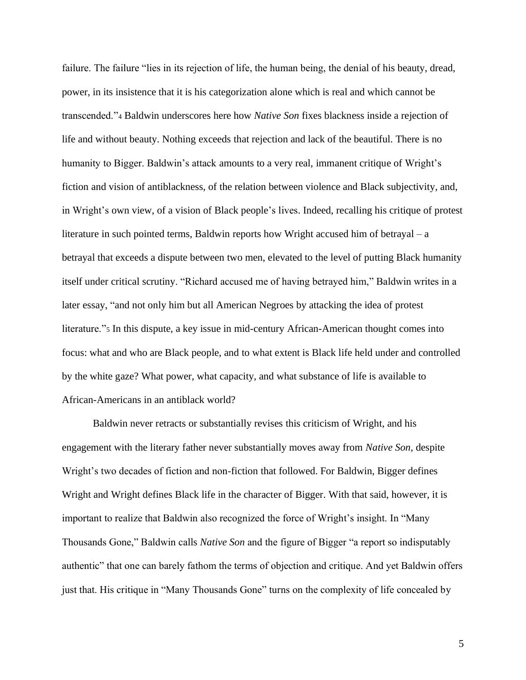failure. The failure "lies in its rejection of life, the human being, the denial of his beauty, dread, power, in its insistence that it is his categorization alone which is real and which cannot be transcended."<sup>4</sup> Baldwin underscores here how *Native Son* fixes blackness inside a rejection of life and without beauty. Nothing exceeds that rejection and lack of the beautiful. There is no humanity to Bigger. Baldwin's attack amounts to a very real, immanent critique of Wright's fiction and vision of antiblackness, of the relation between violence and Black subjectivity, and, in Wright's own view, of a vision of Black people's lives. Indeed, recalling his critique of protest literature in such pointed terms, Baldwin reports how Wright accused him of betrayal – a betrayal that exceeds a dispute between two men, elevated to the level of putting Black humanity itself under critical scrutiny. "Richard accused me of having betrayed him," Baldwin writes in a later essay, "and not only him but all American Negroes by attacking the idea of protest literature."<sup>5</sup> In this dispute, a key issue in mid-century African-American thought comes into focus: what and who are Black people, and to what extent is Black life held under and controlled by the white gaze? What power, what capacity, and what substance of life is available to African-Americans in an antiblack world?

Baldwin never retracts or substantially revises this criticism of Wright, and his engagement with the literary father never substantially moves away from *Native Son,* despite Wright's two decades of fiction and non-fiction that followed. For Baldwin, Bigger defines Wright and Wright defines Black life in the character of Bigger. With that said, however, it is important to realize that Baldwin also recognized the force of Wright's insight. In "Many Thousands Gone," Baldwin calls *Native Son* and the figure of Bigger "a report so indisputably authentic" that one can barely fathom the terms of objection and critique. And yet Baldwin offers just that. His critique in "Many Thousands Gone" turns on the complexity of life concealed by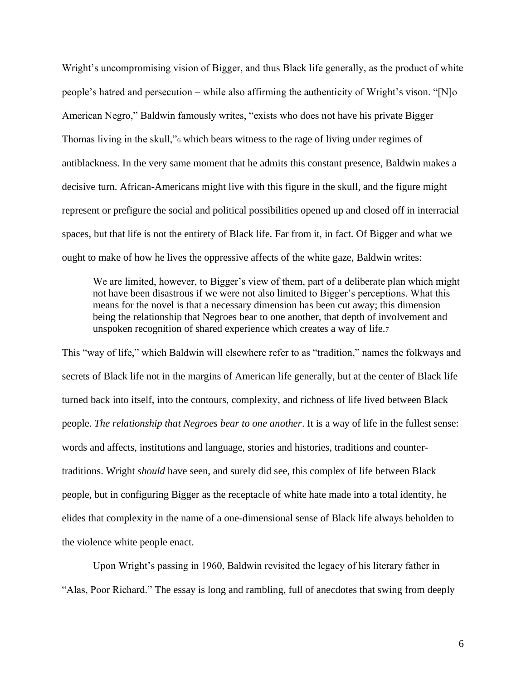Wright's uncompromising vision of Bigger, and thus Black life generally, as the product of white people's hatred and persecution – while also affirming the authenticity of Wright's vison. "[N]o American Negro," Baldwin famously writes, "exists who does not have his private Bigger Thomas living in the skull,"<sup>6</sup> which bears witness to the rage of living under regimes of antiblackness. In the very same moment that he admits this constant presence, Baldwin makes a decisive turn. African-Americans might live with this figure in the skull, and the figure might represent or prefigure the social and political possibilities opened up and closed off in interracial spaces, but that life is not the entirety of Black life. Far from it, in fact. Of Bigger and what we ought to make of how he lives the oppressive affects of the white gaze, Baldwin writes:

We are limited, however, to Bigger's view of them, part of a deliberate plan which might not have been disastrous if we were not also limited to Bigger's perceptions. What this means for the novel is that a necessary dimension has been cut away; this dimension being the relationship that Negroes bear to one another, that depth of involvement and unspoken recognition of shared experience which creates a way of life.<sup>7</sup>

This "way of life," which Baldwin will elsewhere refer to as "tradition," names the folkways and secrets of Black life not in the margins of American life generally, but at the center of Black life turned back into itself, into the contours, complexity, and richness of life lived between Black people. *The relationship that Negroes bear to one another*. It is a way of life in the fullest sense: words and affects, institutions and language, stories and histories, traditions and countertraditions. Wright *should* have seen, and surely did see, this complex of life between Black people, but in configuring Bigger as the receptacle of white hate made into a total identity, he elides that complexity in the name of a one-dimensional sense of Black life always beholden to the violence white people enact.

Upon Wright's passing in 1960, Baldwin revisited the legacy of his literary father in "Alas, Poor Richard." The essay is long and rambling, full of anecdotes that swing from deeply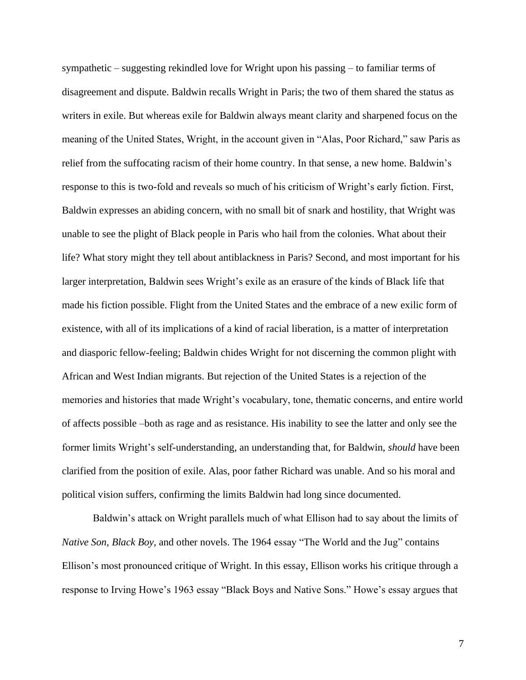sympathetic – suggesting rekindled love for Wright upon his passing – to familiar terms of disagreement and dispute. Baldwin recalls Wright in Paris; the two of them shared the status as writers in exile. But whereas exile for Baldwin always meant clarity and sharpened focus on the meaning of the United States, Wright, in the account given in "Alas, Poor Richard," saw Paris as relief from the suffocating racism of their home country. In that sense, a new home. Baldwin's response to this is two-fold and reveals so much of his criticism of Wright's early fiction. First, Baldwin expresses an abiding concern, with no small bit of snark and hostility, that Wright was unable to see the plight of Black people in Paris who hail from the colonies. What about their life? What story might they tell about antiblackness in Paris? Second, and most important for his larger interpretation, Baldwin sees Wright's exile as an erasure of the kinds of Black life that made his fiction possible. Flight from the United States and the embrace of a new exilic form of existence, with all of its implications of a kind of racial liberation, is a matter of interpretation and diasporic fellow-feeling; Baldwin chides Wright for not discerning the common plight with African and West Indian migrants. But rejection of the United States is a rejection of the memories and histories that made Wright's vocabulary, tone, thematic concerns, and entire world of affects possible –both as rage and as resistance. His inability to see the latter and only see the former limits Wright's self-understanding, an understanding that, for Baldwin, *should* have been clarified from the position of exile. Alas, poor father Richard was unable. And so his moral and political vision suffers, confirming the limits Baldwin had long since documented.

Baldwin's attack on Wright parallels much of what Ellison had to say about the limits of *Native Son, Black Boy,* and other novels. The 1964 essay "The World and the Jug" contains Ellison's most pronounced critique of Wright. In this essay, Ellison works his critique through a response to Irving Howe's 1963 essay "Black Boys and Native Sons." Howe's essay argues that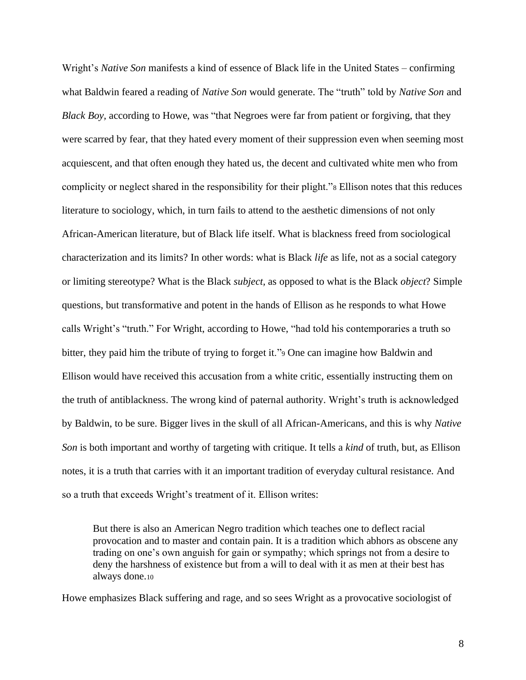Wright's *Native Son* manifests a kind of essence of Black life in the United States – confirming what Baldwin feared a reading of *Native Son* would generate. The "truth" told by *Native Son* and *Black Boy,* according to Howe, was "that Negroes were far from patient or forgiving, that they were scarred by fear, that they hated every moment of their suppression even when seeming most acquiescent, and that often enough they hated us, the decent and cultivated white men who from complicity or neglect shared in the responsibility for their plight."<sup>8</sup> Ellison notes that this reduces literature to sociology, which, in turn fails to attend to the aesthetic dimensions of not only African-American literature, but of Black life itself. What is blackness freed from sociological characterization and its limits? In other words: what is Black *life* as life, not as a social category or limiting stereotype? What is the Black *subject,* as opposed to what is the Black *object*? Simple questions, but transformative and potent in the hands of Ellison as he responds to what Howe calls Wright's "truth." For Wright, according to Howe, "had told his contemporaries a truth so bitter, they paid him the tribute of trying to forget it."<sup>9</sup> One can imagine how Baldwin and Ellison would have received this accusation from a white critic, essentially instructing them on the truth of antiblackness. The wrong kind of paternal authority. Wright's truth is acknowledged by Baldwin, to be sure. Bigger lives in the skull of all African-Americans, and this is why *Native Son* is both important and worthy of targeting with critique. It tells a *kind* of truth, but, as Ellison notes, it is a truth that carries with it an important tradition of everyday cultural resistance. And so a truth that exceeds Wright's treatment of it. Ellison writes:

But there is also an American Negro tradition which teaches one to deflect racial provocation and to master and contain pain. It is a tradition which abhors as obscene any trading on one's own anguish for gain or sympathy; which springs not from a desire to deny the harshness of existence but from a will to deal with it as men at their best has always done.<sup>10</sup>

Howe emphasizes Black suffering and rage, and so sees Wright as a provocative sociologist of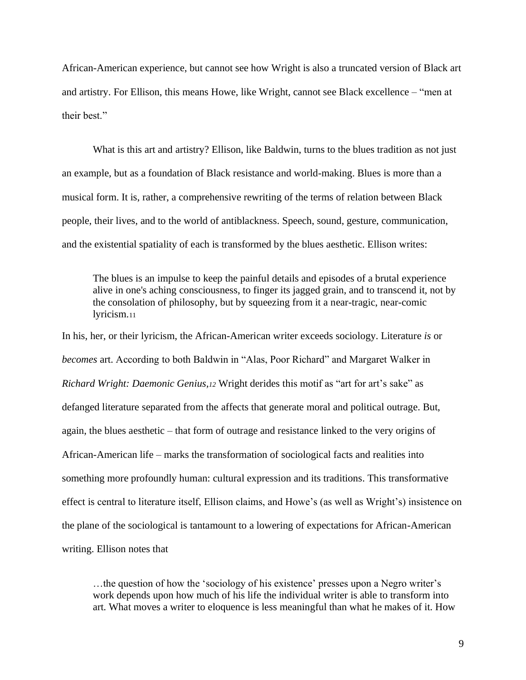African-American experience, but cannot see how Wright is also a truncated version of Black art and artistry. For Ellison, this means Howe, like Wright, cannot see Black excellence – "men at their best."

What is this art and artistry? Ellison, like Baldwin, turns to the blues tradition as not just an example, but as a foundation of Black resistance and world-making. Blues is more than a musical form. It is, rather, a comprehensive rewriting of the terms of relation between Black people, their lives, and to the world of antiblackness. Speech, sound, gesture, communication, and the existential spatiality of each is transformed by the blues aesthetic. Ellison writes:

The blues is an impulse to keep the painful details and episodes of a brutal experience alive in one's aching consciousness, to finger its jagged grain, and to transcend it, not by the consolation of philosophy, but by squeezing from it a near-tragic, near-comic lyricism.<sup>11</sup>

In his, her, or their lyricism, the African-American writer exceeds sociology. Literature *is* or *becomes* art. According to both Baldwin in "Alas, Poor Richard" and Margaret Walker in *Richard Wright: Daemonic Genius,<sup>12</sup>* Wright derides this motif as "art for art's sake" as defanged literature separated from the affects that generate moral and political outrage. But, again, the blues aesthetic – that form of outrage and resistance linked to the very origins of African-American life – marks the transformation of sociological facts and realities into something more profoundly human: cultural expression and its traditions. This transformative effect is central to literature itself, Ellison claims, and Howe's (as well as Wright's) insistence on the plane of the sociological is tantamount to a lowering of expectations for African-American writing. Ellison notes that

…the question of how the 'sociology of his existence' presses upon a Negro writer's work depends upon how much of his life the individual writer is able to transform into art. What moves a writer to eloquence is less meaningful than what he makes of it. How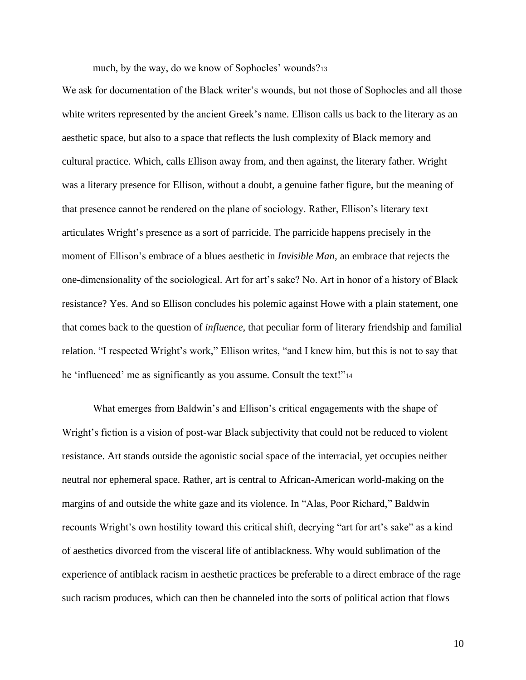much, by the way, do we know of Sophocles' wounds?<sup>13</sup>

We ask for documentation of the Black writer's wounds, but not those of Sophocles and all those white writers represented by the ancient Greek's name. Ellison calls us back to the literary as an aesthetic space, but also to a space that reflects the lush complexity of Black memory and cultural practice. Which, calls Ellison away from, and then against, the literary father. Wright was a literary presence for Ellison, without a doubt, a genuine father figure, but the meaning of that presence cannot be rendered on the plane of sociology. Rather, Ellison's literary text articulates Wright's presence as a sort of parricide. The parricide happens precisely in the moment of Ellison's embrace of a blues aesthetic in *Invisible Man,* an embrace that rejects the one-dimensionality of the sociological. Art for art's sake? No. Art in honor of a history of Black resistance? Yes. And so Ellison concludes his polemic against Howe with a plain statement, one that comes back to the question of *influence,* that peculiar form of literary friendship and familial relation. "I respected Wright's work," Ellison writes, "and I knew him, but this is not to say that he 'influenced' me as significantly as you assume. Consult the text!"<sup>14</sup>

What emerges from Baldwin's and Ellison's critical engagements with the shape of Wright's fiction is a vision of post-war Black subjectivity that could not be reduced to violent resistance. Art stands outside the agonistic social space of the interracial, yet occupies neither neutral nor ephemeral space. Rather, art is central to African-American world-making on the margins of and outside the white gaze and its violence. In "Alas, Poor Richard," Baldwin recounts Wright's own hostility toward this critical shift, decrying "art for art's sake" as a kind of aesthetics divorced from the visceral life of antiblackness. Why would sublimation of the experience of antiblack racism in aesthetic practices be preferable to a direct embrace of the rage such racism produces, which can then be channeled into the sorts of political action that flows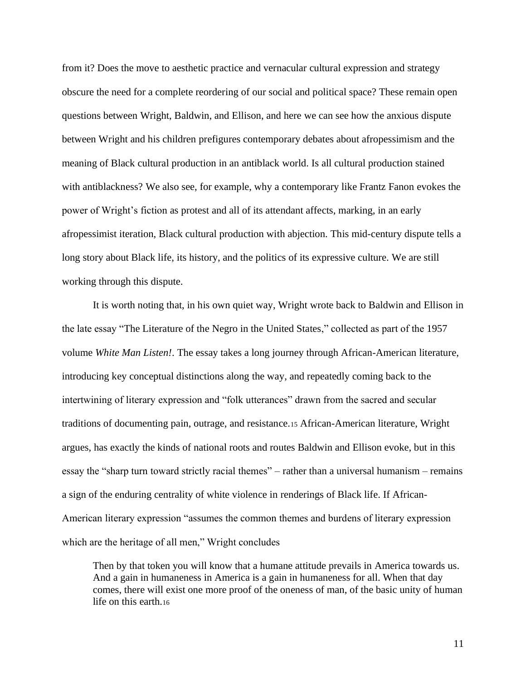from it? Does the move to aesthetic practice and vernacular cultural expression and strategy obscure the need for a complete reordering of our social and political space? These remain open questions between Wright, Baldwin, and Ellison, and here we can see how the anxious dispute between Wright and his children prefigures contemporary debates about afropessimism and the meaning of Black cultural production in an antiblack world. Is all cultural production stained with antiblackness? We also see, for example, why a contemporary like Frantz Fanon evokes the power of Wright's fiction as protest and all of its attendant affects, marking, in an early afropessimist iteration, Black cultural production with abjection. This mid-century dispute tells a long story about Black life, its history, and the politics of its expressive culture. We are still working through this dispute.

It is worth noting that, in his own quiet way, Wright wrote back to Baldwin and Ellison in the late essay "The Literature of the Negro in the United States," collected as part of the 1957 volume *White Man Listen!*. The essay takes a long journey through African-American literature, introducing key conceptual distinctions along the way, and repeatedly coming back to the intertwining of literary expression and "folk utterances" drawn from the sacred and secular traditions of documenting pain, outrage, and resistance.<sup>15</sup> African-American literature, Wright argues, has exactly the kinds of national roots and routes Baldwin and Ellison evoke, but in this essay the "sharp turn toward strictly racial themes" – rather than a universal humanism – remains a sign of the enduring centrality of white violence in renderings of Black life. If African-American literary expression "assumes the common themes and burdens of literary expression which are the heritage of all men," Wright concludes

Then by that token you will know that a humane attitude prevails in America towards us. And a gain in humaneness in America is a gain in humaneness for all. When that day comes, there will exist one more proof of the oneness of man, of the basic unity of human life on this earth.16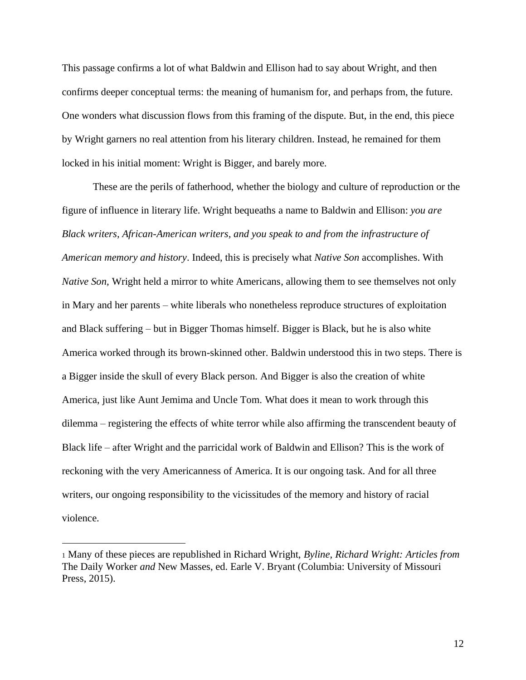This passage confirms a lot of what Baldwin and Ellison had to say about Wright, and then confirms deeper conceptual terms: the meaning of humanism for, and perhaps from, the future. One wonders what discussion flows from this framing of the dispute. But, in the end, this piece by Wright garners no real attention from his literary children. Instead, he remained for them locked in his initial moment: Wright is Bigger, and barely more.

These are the perils of fatherhood, whether the biology and culture of reproduction or the figure of influence in literary life. Wright bequeaths a name to Baldwin and Ellison: *you are Black writers, African-American writers, and you speak to and from the infrastructure of American memory and history*. Indeed, this is precisely what *Native Son* accomplishes. With *Native Son,* Wright held a mirror to white Americans, allowing them to see themselves not only in Mary and her parents – white liberals who nonetheless reproduce structures of exploitation and Black suffering – but in Bigger Thomas himself. Bigger is Black, but he is also white America worked through its brown-skinned other. Baldwin understood this in two steps. There is a Bigger inside the skull of every Black person. And Bigger is also the creation of white America, just like Aunt Jemima and Uncle Tom. What does it mean to work through this dilemma – registering the effects of white terror while also affirming the transcendent beauty of Black life – after Wright and the parricidal work of Baldwin and Ellison? This is the work of reckoning with the very Americanness of America. It is our ongoing task. And for all three writers, our ongoing responsibility to the vicissitudes of the memory and history of racial violence.

<sup>1</sup> Many of these pieces are republished in Richard Wright, *Byline, Richard Wright: Articles from*  The Daily Worker *and* New Masses, ed. Earle V. Bryant (Columbia: University of Missouri Press, 2015).